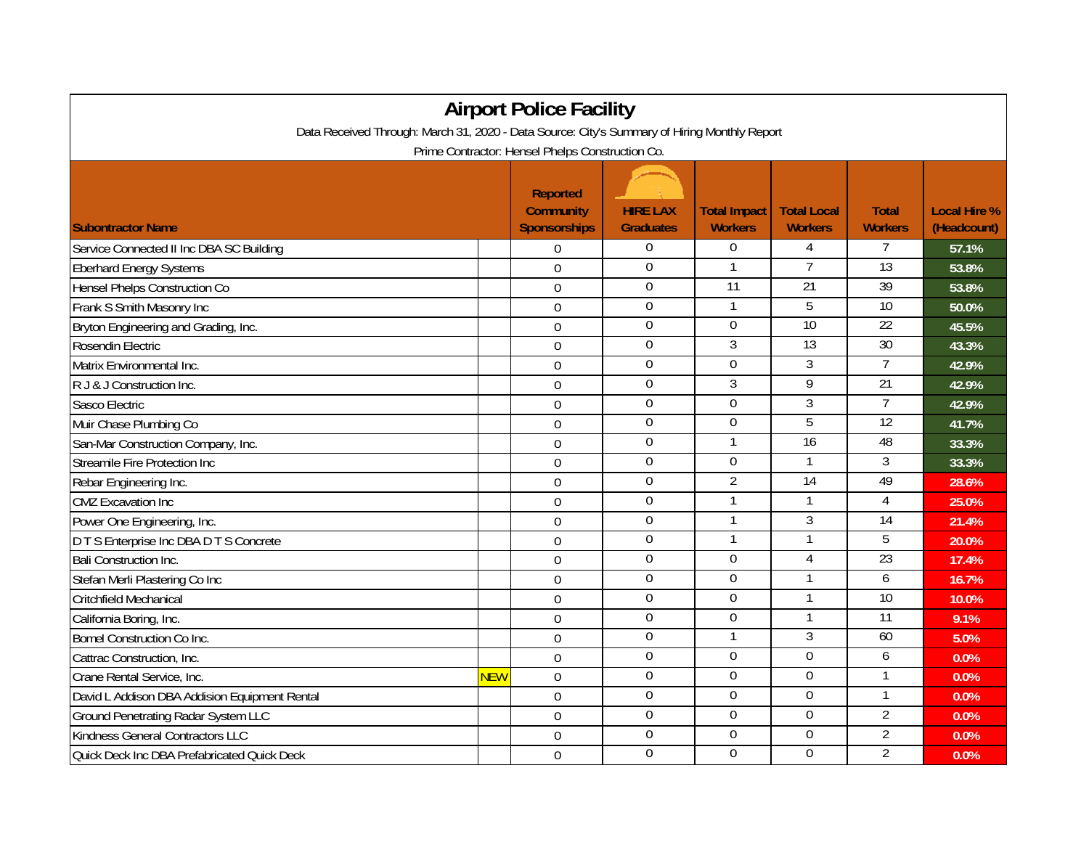| <b>Airport Police Facility</b>                                                               |            |                                                            |                                     |                                       |                                      |                                |                                    |  |  |  |  |  |
|----------------------------------------------------------------------------------------------|------------|------------------------------------------------------------|-------------------------------------|---------------------------------------|--------------------------------------|--------------------------------|------------------------------------|--|--|--|--|--|
| Data Received Through: March 31, 2020 - Data Source: City's Summary of Hiring Monthly Report |            |                                                            |                                     |                                       |                                      |                                |                                    |  |  |  |  |  |
| Prime Contractor: Hensel Phelps Construction Co.                                             |            |                                                            |                                     |                                       |                                      |                                |                                    |  |  |  |  |  |
| <b>Subontractor Name</b>                                                                     |            | <b>Reported</b><br><b>Community</b><br><b>Sponsorships</b> | <b>HIRE LAX</b><br><b>Graduates</b> | <b>Total Impact</b><br><b>Workers</b> | <b>Total Local</b><br><b>Workers</b> | <b>Total</b><br><b>Workers</b> | <b>Local Hire %</b><br>(Headcount) |  |  |  |  |  |
| Service Connected II Inc DBA SC Building                                                     |            | $\Omega$                                                   | 0                                   | $\boldsymbol{0}$                      | 4                                    | 7                              | 57.1%                              |  |  |  |  |  |
| <b>Eberhard Energy Systems</b>                                                               |            | $\mathbf 0$                                                | $\mathbf{0}$                        | 1                                     | 7                                    | 13                             | 53.8%                              |  |  |  |  |  |
| Hensel Phelps Construction Co                                                                |            | $\mathbf 0$                                                | $\mathbf 0$                         | $\overline{11}$                       | 21                                   | 39                             | 53.8%                              |  |  |  |  |  |
| Frank S Smith Masonry Inc                                                                    |            | $\overline{0}$                                             | 0                                   | 1                                     | 5                                    | 10                             | 50.0%                              |  |  |  |  |  |
| Bryton Engineering and Grading, Inc.                                                         |            | $\overline{0}$                                             | 0                                   | $\Omega$                              | $\overline{10}$                      | $\overline{22}$                | 45.5%                              |  |  |  |  |  |
| Rosendin Electric                                                                            |            | $\boldsymbol{0}$                                           | $\boldsymbol{0}$                    | 3                                     | $\overline{13}$                      | 30                             | 43.3%                              |  |  |  |  |  |
| Matrix Environmental Inc.                                                                    |            | $\mathbf 0$                                                | $\boldsymbol{0}$                    | $\Omega$                              | 3                                    | $\overline{7}$                 | 42.9%                              |  |  |  |  |  |
| R J & J Construction Inc.                                                                    |            | $\mathbf 0$                                                | $\boldsymbol{0}$                    | 3                                     | 9                                    | $\overline{21}$                | 42.9%                              |  |  |  |  |  |
| Sasco Electric                                                                               |            | $\mathbf 0$                                                | $\boldsymbol{0}$                    | $\mathbf 0$                           | 3                                    | $\overline{7}$                 | 42.9%                              |  |  |  |  |  |
| Muir Chase Plumbing Co                                                                       |            | $\overline{0}$                                             | $\overline{0}$                      | $\overline{0}$                        | 5                                    | 12                             | 41.7%                              |  |  |  |  |  |
| San-Mar Construction Company, Inc.                                                           |            | $\boldsymbol{0}$                                           | $\mathbf 0$                         | 1                                     | 16                                   | 48                             | 33.3%                              |  |  |  |  |  |
| Streamile Fire Protection Inc                                                                |            | $\mathbf 0$                                                | $\boldsymbol{0}$                    | $\Omega$                              |                                      | 3                              | 33.3%                              |  |  |  |  |  |
| Rebar Engineering Inc.                                                                       |            | $\overline{0}$                                             | $\boldsymbol{0}$                    | $\overline{2}$                        | $\overline{14}$                      | 49                             | 28.6%                              |  |  |  |  |  |
| <b>CMZ</b> Excavation Inc                                                                    |            | $\Omega$                                                   | $\mathbf 0$                         | $\mathbf{1}$                          | $\mathbf{1}$                         | $\overline{4}$                 | 25.0%                              |  |  |  |  |  |
| Power One Engineering, Inc.                                                                  |            | $\overline{0}$                                             | 0                                   | $\mathbf{1}$                          | $\overline{3}$                       | $\overline{14}$                | 21.4%                              |  |  |  |  |  |
| D T S Enterprise Inc DBA D T S Concrete                                                      |            | $\overline{0}$                                             | 0                                   | 1                                     | $\mathbf{1}$                         | 5                              | 20.0%                              |  |  |  |  |  |
| Bali Construction Inc.                                                                       |            | $\overline{0}$                                             | 0                                   | $\boldsymbol{0}$                      | 4                                    | 23                             | 17.4%                              |  |  |  |  |  |
| Stefan Merli Plastering Co Inc                                                               |            | $\mathbf 0$                                                | $\mathbf 0$                         | $\overline{0}$                        | 1                                    | 6                              | 16.7%                              |  |  |  |  |  |
| Critchfield Mechanical                                                                       |            | $\Omega$                                                   | $\boldsymbol{0}$                    | $\mathbf 0$                           |                                      | 10                             | 10.0%                              |  |  |  |  |  |
| California Boring, Inc.                                                                      |            | $\overline{0}$                                             | $\boldsymbol{0}$                    | $\boldsymbol{0}$                      | 1                                    | 11                             | 9.1%                               |  |  |  |  |  |
| <b>Bomel Construction Co Inc.</b>                                                            |            | $\mathbf 0$                                                | $\boldsymbol{0}$                    | 1                                     | 3                                    | 60                             | 5.0%                               |  |  |  |  |  |
| Cattrac Construction, Inc.                                                                   |            | $\mathbf 0$                                                | $\boldsymbol{0}$                    | $\mathbf 0$                           | $\mathbf 0$                          | 6                              | 0.0%                               |  |  |  |  |  |
| Crane Rental Service, Inc.                                                                   | <b>NEW</b> | $\Omega$                                                   | $\mathbf 0$                         | $\overline{0}$                        | $\overline{0}$                       |                                | 0.0%                               |  |  |  |  |  |
| David L Addison DBA Addision Equipment Rental                                                |            | $\overline{0}$                                             | $\overline{0}$                      | $\overline{0}$                        | 0                                    | 1                              | 0.0%                               |  |  |  |  |  |
| <b>Ground Penetrating Radar System LLC</b>                                                   |            | $\mathbf 0$                                                | $\overline{0}$                      | $\boldsymbol{0}$                      | $\overline{0}$                       | $\overline{2}$                 | 0.0%                               |  |  |  |  |  |
| Kindness General Contractors LLC                                                             |            | $\mathbf 0$                                                | $\boldsymbol{0}$                    | $\mathbf 0$                           | $\mathbf 0$                          | $\overline{2}$                 | 0.0%                               |  |  |  |  |  |
| Quick Deck Inc DBA Prefabricated Quick Deck                                                  |            | $\overline{0}$                                             | 0                                   | $\Omega$                              | $\overline{0}$                       | $\overline{2}$                 | 0.0%                               |  |  |  |  |  |